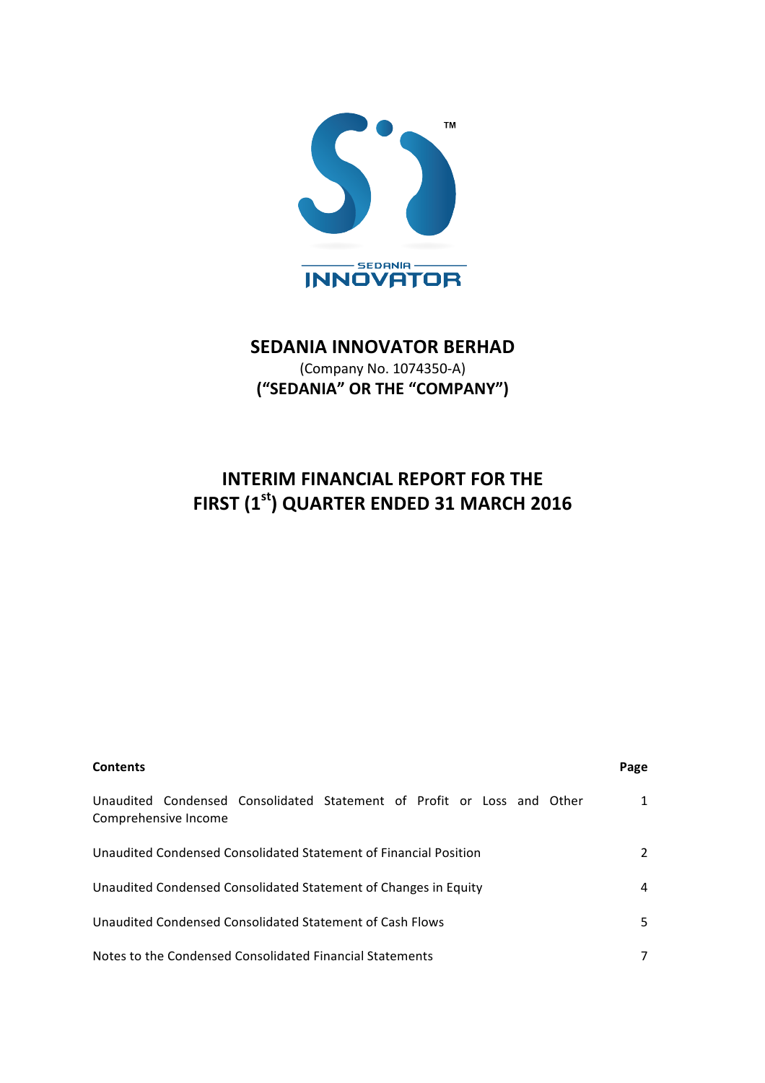

# **SEDANIA INNOVATOR BERHAD**

(Company No. 1074350-A) **("SEDANIA" OR THE "COMPANY")** 

# **INTERIM FINANCIAL REPORT FOR THE FIRST (1st) QUARTER ENDED 31 MARCH 2016**

| <b>Contents</b>                                                                                | Page |
|------------------------------------------------------------------------------------------------|------|
| Unaudited Condensed Consolidated Statement of Profit or Loss and Other<br>Comprehensive Income | 1    |
| Unaudited Condensed Consolidated Statement of Financial Position                               | 2    |
| Unaudited Condensed Consolidated Statement of Changes in Equity                                | 4    |
| Unaudited Condensed Consolidated Statement of Cash Flows                                       | 5.   |
| Notes to the Condensed Consolidated Financial Statements                                       |      |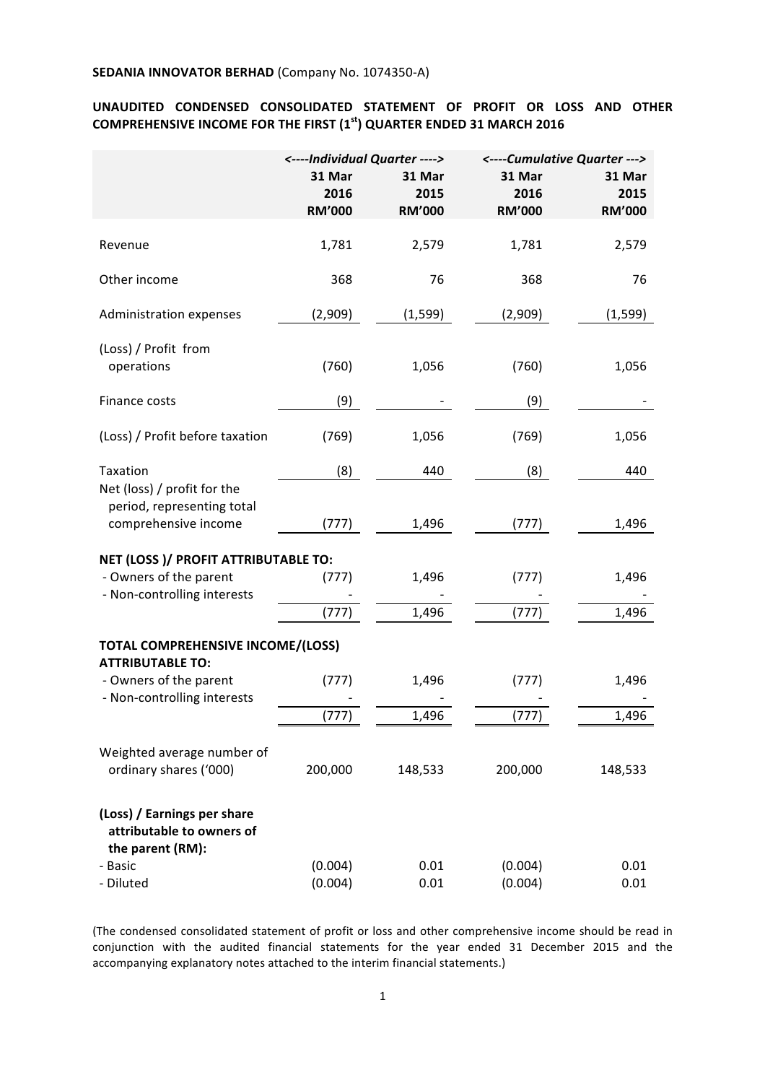## UNAUDITED CONDENSED CONSOLIDATED STATEMENT OF PROFIT OR LOSS AND OTHER **COMPREHENSIVE INCOME FOR THE FIRST (1<sup>st</sup>) QUARTER ENDED 31 MARCH 2016**

|                                                                                   | <----Individual Quarter ----> |                | <----Cumulative Quarter ---> |                |
|-----------------------------------------------------------------------------------|-------------------------------|----------------|------------------------------|----------------|
|                                                                                   | 31 Mar<br>2016                | 31 Mar<br>2015 | 31 Mar<br>2016               | 31 Mar<br>2015 |
|                                                                                   | <b>RM'000</b>                 | <b>RM'000</b>  | <b>RM'000</b>                | <b>RM'000</b>  |
| Revenue                                                                           | 1,781                         | 2,579          | 1,781                        | 2,579          |
| Other income                                                                      | 368                           | 76             | 368                          | 76             |
| Administration expenses                                                           | (2,909)                       | (1, 599)       | (2,909)                      | (1, 599)       |
| (Loss) / Profit from<br>operations                                                | (760)                         | 1,056          | (760)                        | 1,056          |
| Finance costs                                                                     | (9)                           |                | (9)                          |                |
| (Loss) / Profit before taxation                                                   | (769)                         | 1,056          | (769)                        | 1,056          |
| Taxation                                                                          | (8)                           | 440            | (8)                          | 440            |
| Net (loss) / profit for the<br>period, representing total<br>comprehensive income | (777)                         | 1,496          | (777)                        | 1,496          |
| NET (LOSS)/ PROFIT ATTRIBUTABLE TO:                                               |                               |                |                              |                |
| - Owners of the parent                                                            | (777)                         | 1,496          | (777)                        | 1,496          |
| - Non-controlling interests                                                       | (777)                         | 1,496          | (777)                        | 1,496          |
|                                                                                   |                               |                |                              |                |
| TOTAL COMPREHENSIVE INCOME/(LOSS)<br><b>ATTRIBUTABLE TO:</b>                      |                               |                |                              |                |
| - Owners of the parent<br>- Non-controlling interests                             | (777)                         | 1,496          | (777)                        | 1,496          |
|                                                                                   | (777)                         | 1,496          | (777)                        | 1,496          |
| Weighted average number of<br>ordinary shares ('000)                              | 200,000                       | 148,533        | 200,000                      | 148,533        |
| (Loss) / Earnings per share<br>attributable to owners of<br>the parent (RM):      |                               |                |                              |                |
| - Basic                                                                           | (0.004)                       | 0.01           | (0.004)                      | 0.01           |
| - Diluted                                                                         | (0.004)                       | 0.01           | (0.004)                      | 0.01           |

(The condensed consolidated statement of profit or loss and other comprehensive income should be read in conjunction with the audited financial statements for the year ended 31 December 2015 and the accompanying explanatory notes attached to the interim financial statements.)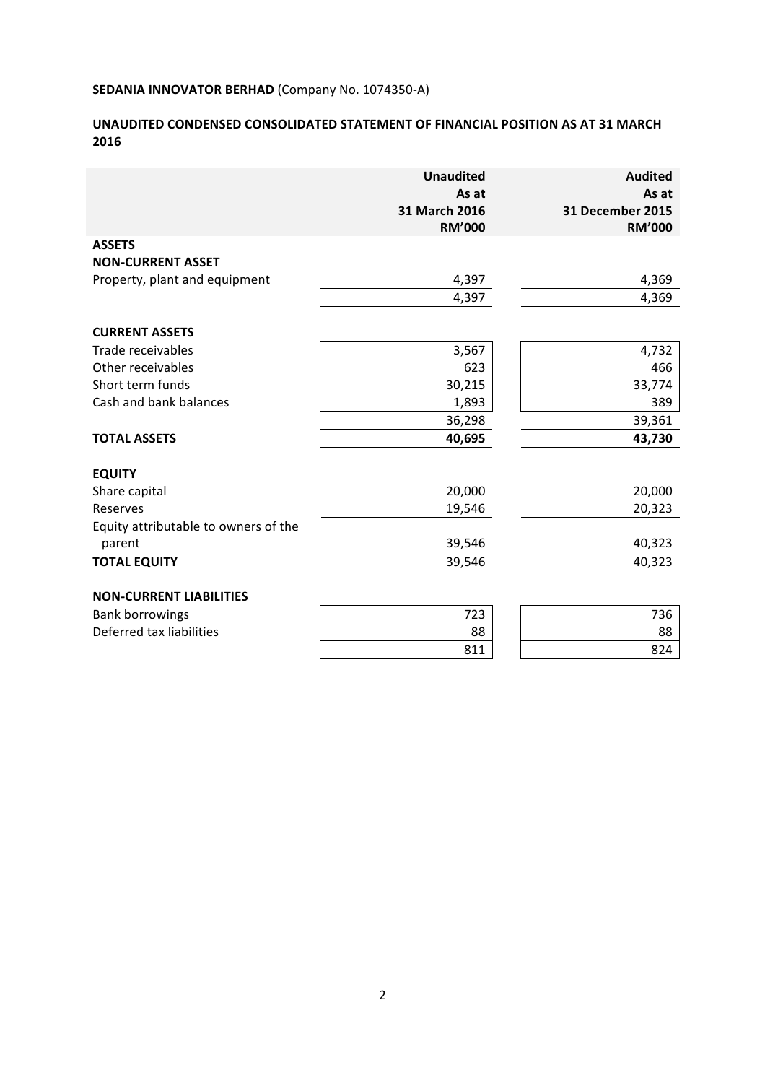# UNAUDITED CONDENSED CONSOLIDATED STATEMENT OF FINANCIAL POSITION AS AT 31 MARCH **2016**

|                                      | <b>Unaudited</b><br>As at<br>31 March 2016<br><b>RM'000</b> | <b>Audited</b><br>As at<br>31 December 2015<br><b>RM'000</b> |
|--------------------------------------|-------------------------------------------------------------|--------------------------------------------------------------|
| <b>ASSETS</b>                        |                                                             |                                                              |
| <b>NON-CURRENT ASSET</b>             |                                                             |                                                              |
| Property, plant and equipment        | 4,397                                                       | 4,369                                                        |
|                                      | 4,397                                                       | 4,369                                                        |
| <b>CURRENT ASSETS</b>                |                                                             |                                                              |
| Trade receivables                    | 3,567                                                       | 4,732                                                        |
| Other receivables                    | 623                                                         | 466                                                          |
| Short term funds                     | 30,215                                                      | 33,774                                                       |
| Cash and bank balances               | 1,893                                                       | 389                                                          |
|                                      | 36,298                                                      | 39,361                                                       |
| <b>TOTAL ASSETS</b>                  | 40,695                                                      | 43,730                                                       |
| <b>EQUITY</b>                        |                                                             |                                                              |
| Share capital                        | 20,000                                                      | 20,000                                                       |
| Reserves                             | 19,546                                                      | 20,323                                                       |
| Equity attributable to owners of the |                                                             |                                                              |
| parent                               | 39,546                                                      | 40,323                                                       |
| <b>TOTAL EQUITY</b>                  | 39,546                                                      | 40,323                                                       |
| <b>NON-CURRENT LIABILITIES</b>       |                                                             |                                                              |
| <b>Bank borrowings</b>               | 723                                                         | 736                                                          |
| Deferred tax liabilities             | 88                                                          | 88                                                           |
|                                      | 811                                                         | 824                                                          |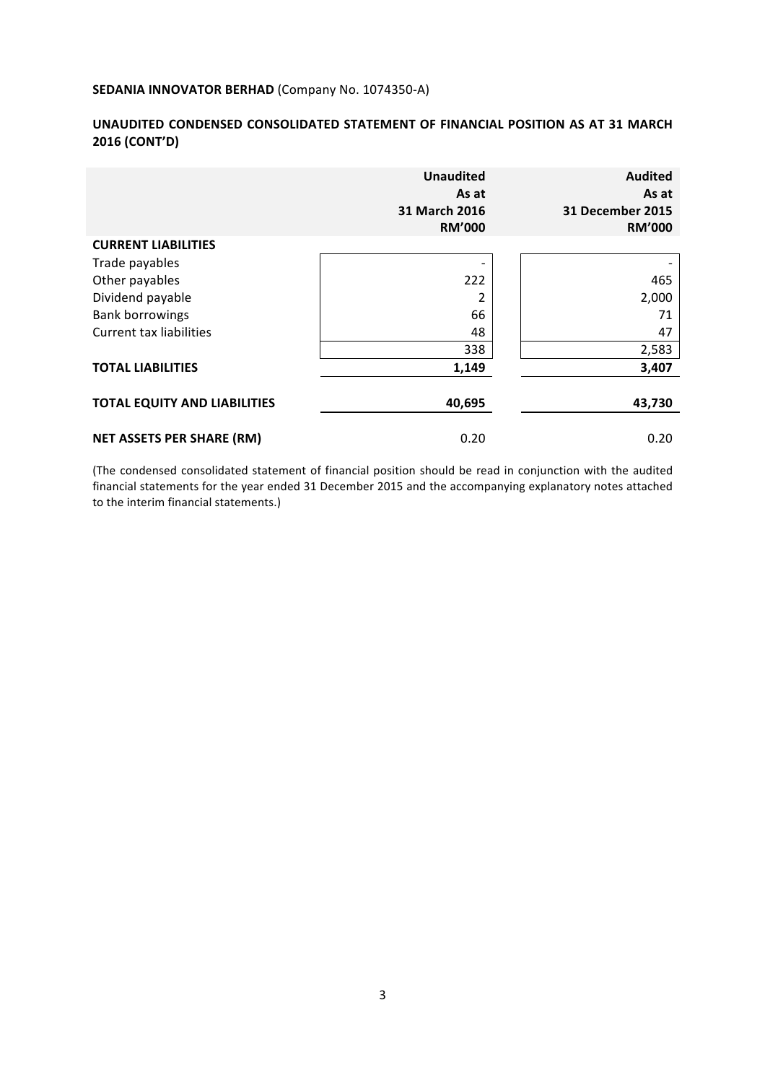## UNAUDITED CONDENSED CONSOLIDATED STATEMENT OF FINANCIAL POSITION AS AT 31 MARCH **2016 (CONT'D)**

|                                     | <b>Unaudited</b><br>As at<br>31 March 2016<br><b>RM'000</b> | <b>Audited</b><br>As at<br><b>31 December 2015</b><br><b>RM'000</b> |
|-------------------------------------|-------------------------------------------------------------|---------------------------------------------------------------------|
| <b>CURRENT LIABILITIES</b>          |                                                             |                                                                     |
| Trade payables                      |                                                             |                                                                     |
| Other payables                      | 222                                                         | 465                                                                 |
| Dividend payable                    | 2                                                           | 2,000                                                               |
| <b>Bank borrowings</b>              | 66                                                          | 71                                                                  |
| <b>Current tax liabilities</b>      | 48                                                          | 47                                                                  |
|                                     | 338                                                         | 2,583                                                               |
| <b>TOTAL LIABILITIES</b>            | 1,149                                                       | 3,407                                                               |
| <b>TOTAL EQUITY AND LIABILITIES</b> | 40,695                                                      | 43,730                                                              |
| <b>NET ASSETS PER SHARE (RM)</b>    | 0.20                                                        | 0.20                                                                |

(The condensed consolidated statement of financial position should be read in conjunction with the audited financial statements for the year ended 31 December 2015 and the accompanying explanatory notes attached to the interim financial statements.)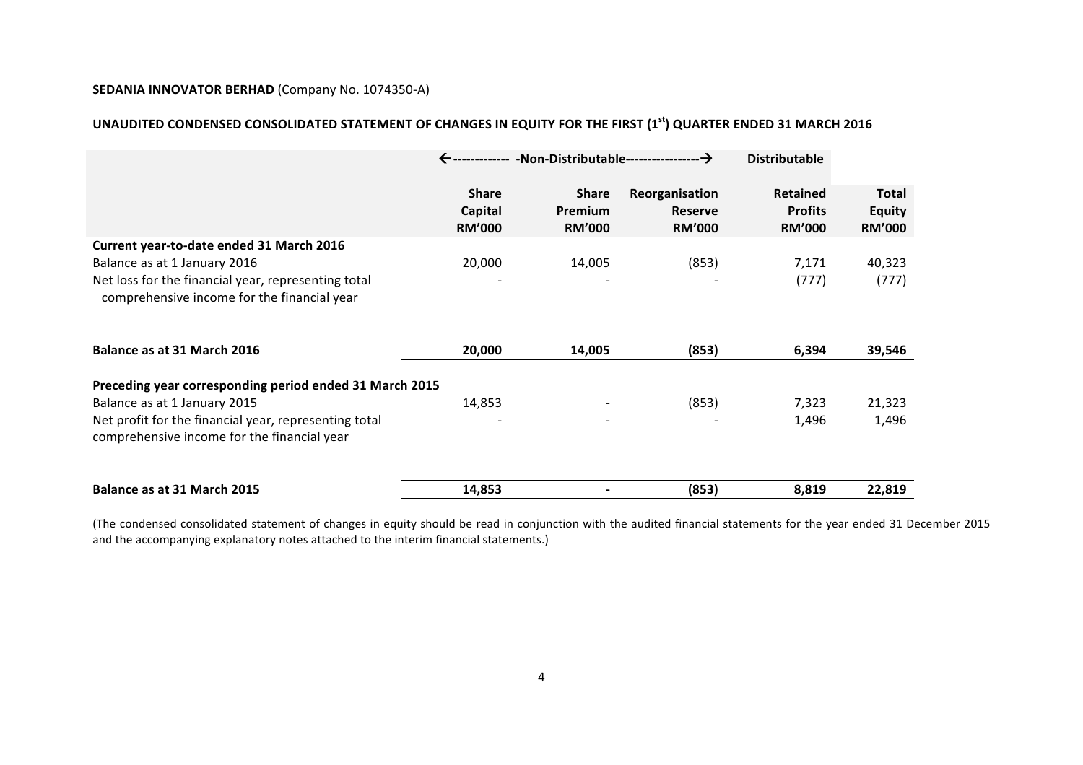# UNAUDITED CONDENSED CONSOLIDATED STATEMENT OF CHANGES IN EQUITY FOR THE FIRST (1<sup>st</sup>) QUARTER ENDED 31 MARCH 2016

|                                                                                                                                                                                                 |                                          |                                          |                                                   | <b>Distributable</b>                               |                                         |
|-------------------------------------------------------------------------------------------------------------------------------------------------------------------------------------------------|------------------------------------------|------------------------------------------|---------------------------------------------------|----------------------------------------------------|-----------------------------------------|
|                                                                                                                                                                                                 | <b>Share</b><br>Capital<br><b>RM'000</b> | <b>Share</b><br>Premium<br><b>RM'000</b> | Reorganisation<br><b>Reserve</b><br><b>RM'000</b> | <b>Retained</b><br><b>Profits</b><br><b>RM'000</b> | Total<br><b>Equity</b><br><b>RM'000</b> |
| Current year-to-date ended 31 March 2016<br>Balance as at 1 January 2016<br>Net loss for the financial year, representing total<br>comprehensive income for the financial year                  | 20,000                                   | 14,005                                   | (853)                                             | 7,171<br>(777)                                     | 40,323<br>(777)                         |
| Balance as at 31 March 2016                                                                                                                                                                     | 20,000                                   | 14,005                                   | (853)                                             | 6,394                                              | 39,546                                  |
| Preceding year corresponding period ended 31 March 2015<br>Balance as at 1 January 2015<br>Net profit for the financial year, representing total<br>comprehensive income for the financial year | 14,853                                   |                                          | (853)                                             | 7,323<br>1,496                                     | 21,323<br>1,496                         |
| Balance as at 31 March 2015                                                                                                                                                                     | 14,853                                   |                                          | (853)                                             | 8,819                                              | 22,819                                  |

(The condensed consolidated statement of changes in equity should be read in conjunction with the audited financial statements for the year ended 31 December 2015 and the accompanying explanatory notes attached to the interim financial statements.)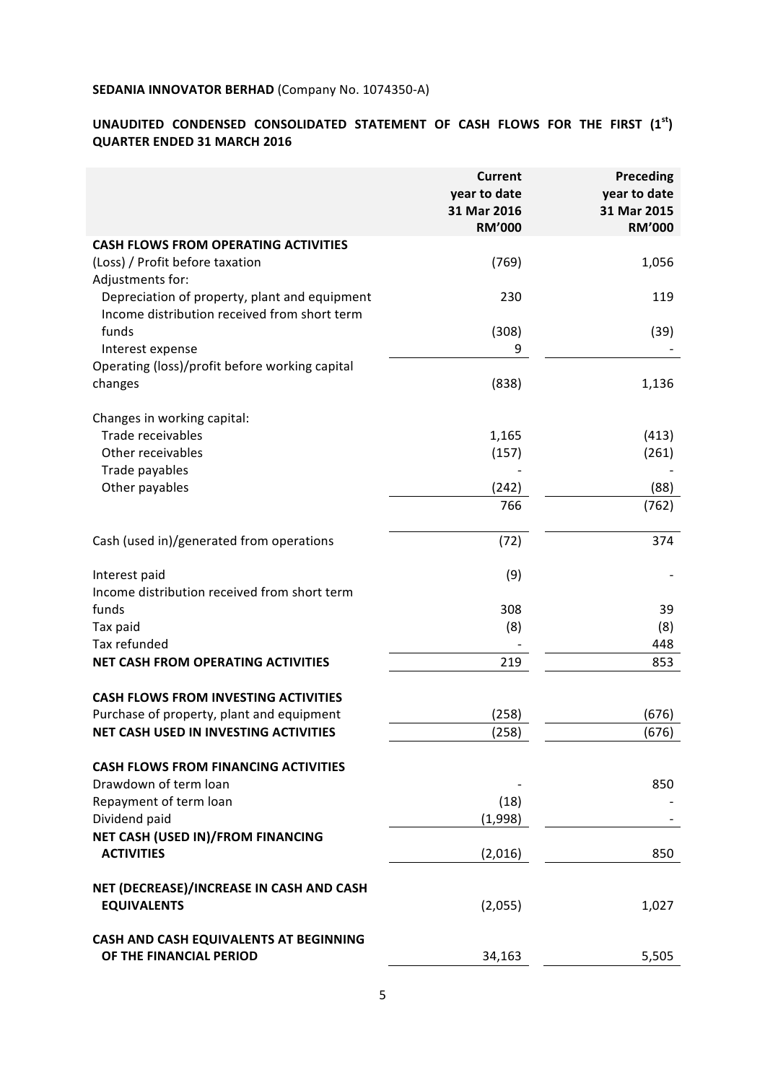# **UNAUDITED CONDENSED CONSOLIDATED STATEMENT OF CASH FLOWS FOR THE FIRST (1st) QUARTER ENDED 31 MARCH 2016**

|                                                                                                                   | <b>Current</b><br>year to date<br>31 Mar 2016<br><b>RM'000</b> | <b>Preceding</b><br>year to date<br>31 Mar 2015<br><b>RM'000</b> |
|-------------------------------------------------------------------------------------------------------------------|----------------------------------------------------------------|------------------------------------------------------------------|
| <b>CASH FLOWS FROM OPERATING ACTIVITIES</b>                                                                       |                                                                |                                                                  |
| (Loss) / Profit before taxation                                                                                   | (769)                                                          | 1,056                                                            |
| Adjustments for:<br>Depreciation of property, plant and equipment<br>Income distribution received from short term | 230                                                            | 119                                                              |
| funds                                                                                                             | (308)                                                          | (39)                                                             |
| Interest expense                                                                                                  | 9                                                              |                                                                  |
| Operating (loss)/profit before working capital<br>changes                                                         | (838)                                                          | 1,136                                                            |
| Changes in working capital:                                                                                       |                                                                |                                                                  |
| Trade receivables                                                                                                 | 1,165                                                          | (413)                                                            |
| Other receivables                                                                                                 | (157)                                                          | (261)                                                            |
| Trade payables                                                                                                    |                                                                |                                                                  |
| Other payables                                                                                                    | (242)                                                          | (88)                                                             |
|                                                                                                                   | 766                                                            | (762)                                                            |
| Cash (used in)/generated from operations                                                                          | (72)                                                           | 374                                                              |
| Interest paid<br>Income distribution received from short term                                                     | (9)                                                            |                                                                  |
| funds                                                                                                             | 308                                                            | 39                                                               |
| Tax paid                                                                                                          | (8)                                                            | (8)                                                              |
| Tax refunded                                                                                                      |                                                                | 448                                                              |
| <b>NET CASH FROM OPERATING ACTIVITIES</b>                                                                         | 219                                                            | 853                                                              |
| <b>CASH FLOWS FROM INVESTING ACTIVITIES</b>                                                                       |                                                                |                                                                  |
| Purchase of property, plant and equipment                                                                         | (258)                                                          | (676)                                                            |
| <b>NET CASH USED IN INVESTING ACTIVITIES</b>                                                                      | (258)                                                          | (676)                                                            |
| <b>CASH FLOWS FROM FINANCING ACTIVITIES</b>                                                                       |                                                                |                                                                  |
| Drawdown of term loan                                                                                             |                                                                | 850                                                              |
| Repayment of term loan                                                                                            | (18)                                                           |                                                                  |
| Dividend paid                                                                                                     | (1,998)                                                        |                                                                  |
| NET CASH (USED IN)/FROM FINANCING<br><b>ACTIVITIES</b>                                                            | (2,016)                                                        | 850                                                              |
| NET (DECREASE)/INCREASE IN CASH AND CASH                                                                          |                                                                |                                                                  |
| <b>EQUIVALENTS</b>                                                                                                | (2,055)                                                        | 1,027                                                            |
| CASH AND CASH EQUIVALENTS AT BEGINNING<br>OF THE FINANCIAL PERIOD                                                 | 34,163                                                         | 5,505                                                            |
|                                                                                                                   |                                                                |                                                                  |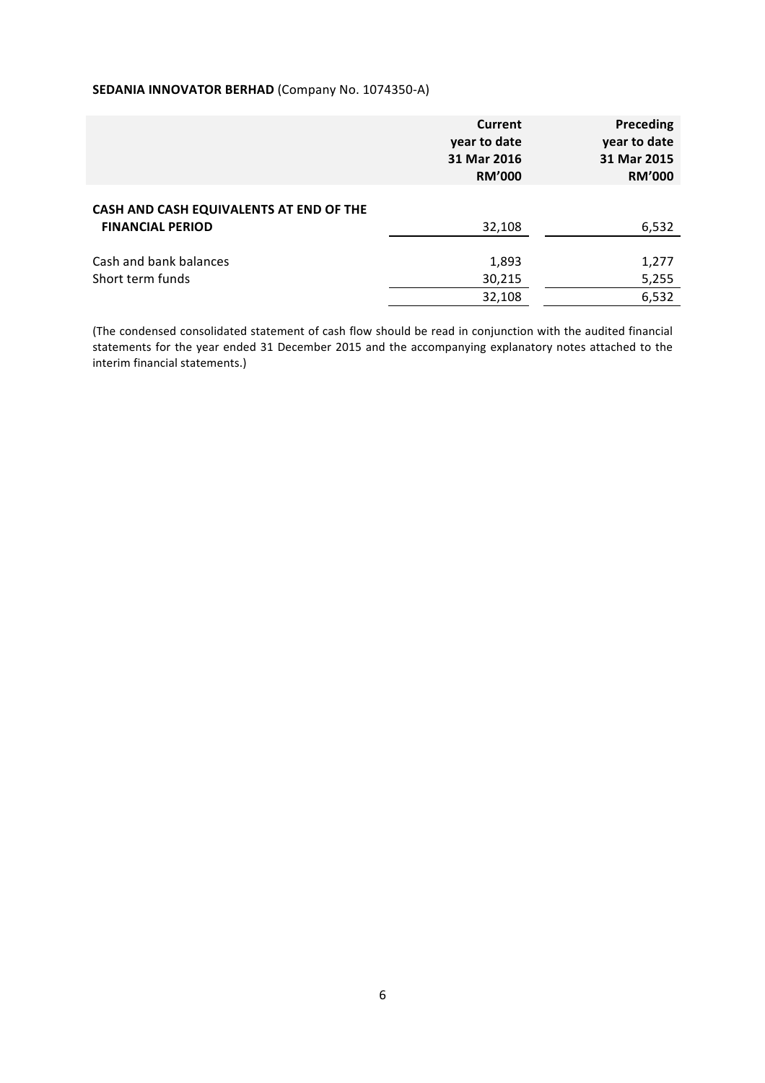|                                                                    | <b>Current</b><br>year to date<br>31 Mar 2016<br><b>RM'000</b> | Preceding<br>year to date<br>31 Mar 2015<br><b>RM'000</b> |
|--------------------------------------------------------------------|----------------------------------------------------------------|-----------------------------------------------------------|
| CASH AND CASH EQUIVALENTS AT END OF THE<br><b>FINANCIAL PERIOD</b> | 32,108                                                         | 6,532                                                     |
| Cash and bank balances<br>Short term funds                         | 1,893<br>30,215<br>32,108                                      | 1,277<br>5,255<br>6,532                                   |

(The condensed consolidated statement of cash flow should be read in conjunction with the audited financial statements for the year ended 31 December 2015 and the accompanying explanatory notes attached to the interim financial statements.)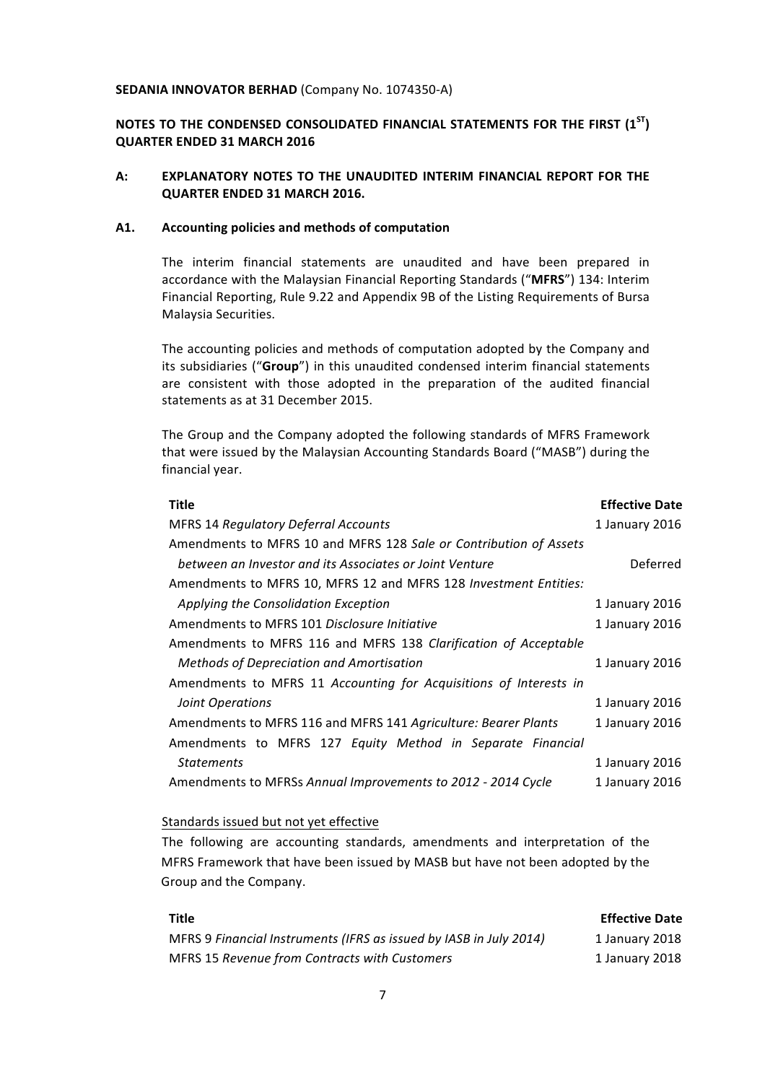## **NOTES TO THE CONDENSED CONSOLIDATED FINANCIAL STATEMENTS FOR THE FIRST (1<sup>ST</sup>) QUARTER ENDED 31 MARCH 2016**

## A: **EXPLANATORY NOTES TO THE UNAUDITED INTERIM FINANCIAL REPORT FOR THE QUARTER ENDED 31 MARCH 2016.**

#### A1. Accounting policies and methods of computation

The interim financial statements are unaudited and have been prepared in accordance with the Malaysian Financial Reporting Standards ("MFRS") 134: Interim Financial Reporting, Rule 9.22 and Appendix 9B of the Listing Requirements of Bursa Malaysia Securities.

The accounting policies and methods of computation adopted by the Company and its subsidiaries ("Group") in this unaudited condensed interim financial statements are consistent with those adopted in the preparation of the audited financial statements as at 31 December 2015.

The Group and the Company adopted the following standards of MFRS Framework that were issued by the Malaysian Accounting Standards Board ("MASB") during the financial year.

| <b>Title</b>                                                      | <b>Effective Date</b> |
|-------------------------------------------------------------------|-----------------------|
| <b>MFRS 14 Regulatory Deferral Accounts</b>                       | 1 January 2016        |
| Amendments to MFRS 10 and MFRS 128 Sale or Contribution of Assets |                       |
| between an Investor and its Associates or Joint Venture           | Deferred              |
| Amendments to MFRS 10, MFRS 12 and MFRS 128 Investment Entities:  |                       |
| Applying the Consolidation Exception                              | 1 January 2016        |
| Amendments to MFRS 101 Disclosure Initiative                      | 1 January 2016        |
| Amendments to MFRS 116 and MFRS 138 Clarification of Acceptable   |                       |
| Methods of Depreciation and Amortisation                          | 1 January 2016        |
| Amendments to MFRS 11 Accounting for Acquisitions of Interests in |                       |
| Joint Operations                                                  | 1 January 2016        |
| Amendments to MFRS 116 and MFRS 141 Agriculture: Bearer Plants    | 1 January 2016        |
| Amendments to MFRS 127 Equity Method in Separate Financial        |                       |
| <b>Statements</b>                                                 | 1 January 2016        |
| Amendments to MFRSs Annual Improvements to 2012 - 2014 Cycle      | 1 January 2016        |
|                                                                   |                       |

#### Standards issued but not yet effective

The following are accounting standards, amendments and interpretation of the MFRS Framework that have been issued by MASB but have not been adopted by the Group and the Company.

| Title                                                              | <b>Effective Date</b> |
|--------------------------------------------------------------------|-----------------------|
| MFRS 9 Financial Instruments (IFRS as issued by IASB in July 2014) | 1 January 2018        |
| MFRS 15 Revenue from Contracts with Customers                      | 1 January 2018        |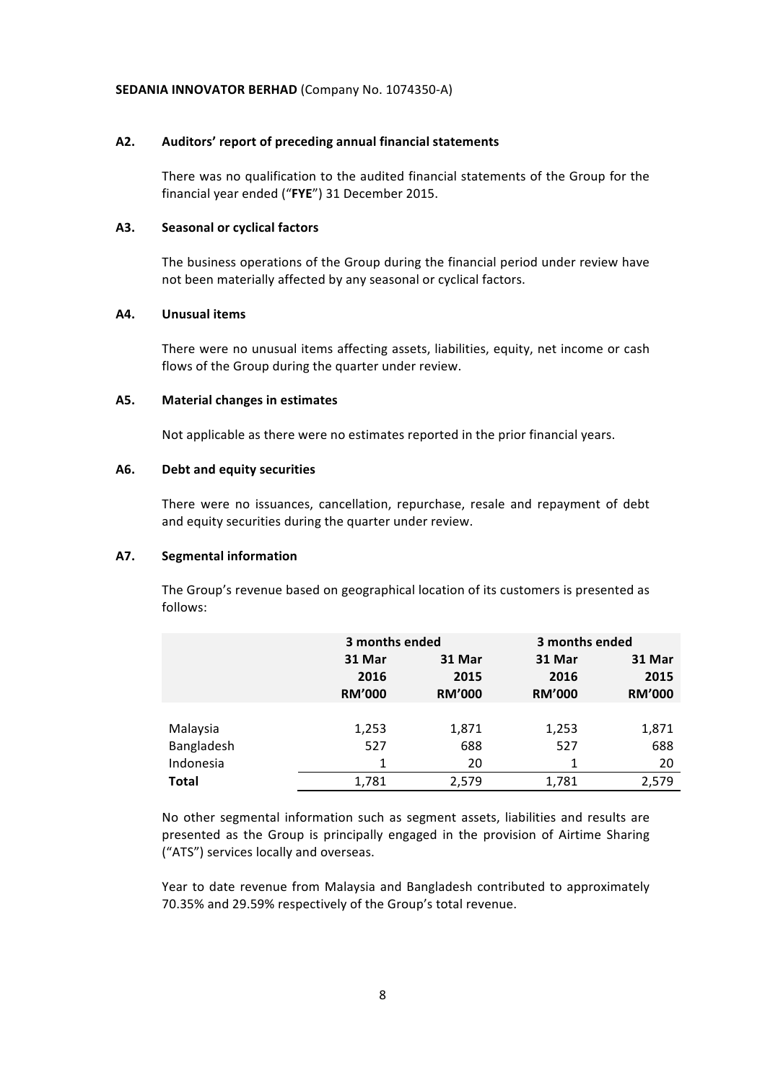#### **A2. Auditors' report of preceding annual financial statements**

There was no qualification to the audited financial statements of the Group for the financial year ended ("FYE") 31 December 2015.

#### **A3. Seasonal or cyclical factors**

The business operations of the Group during the financial period under review have not been materially affected by any seasonal or cyclical factors.

#### **A4. Unusual items**

There were no unusual items affecting assets, liabilities, equity, net income or cash flows of the Group during the quarter under review.

#### A5. Material changes in estimates

Not applicable as there were no estimates reported in the prior financial years.

#### **A6. Debt and equity securities**

There were no issuances, cancellation, repurchase, resale and repayment of debt and equity securities during the quarter under review.

#### **A7. Segmental information**

The Group's revenue based on geographical location of its customers is presented as follows:

|              | 3 months ended |               | 3 months ended |               |
|--------------|----------------|---------------|----------------|---------------|
|              | 31 Mar         | 31 Mar        | 31 Mar         | 31 Mar        |
|              | 2016           | 2015          | 2016           | 2015          |
|              | <b>RM'000</b>  | <b>RM'000</b> | <b>RM'000</b>  | <b>RM'000</b> |
|              |                |               |                |               |
| Malaysia     | 1,253          | 1,871         | 1,253          | 1,871         |
| Bangladesh   | 527            | 688           | 527            | 688           |
| Indonesia    | 1              | 20            |                | 20            |
| <b>Total</b> | 1,781          | 2,579         | 1,781          | 2,579         |

No other segmental information such as segment assets, liabilities and results are presented as the Group is principally engaged in the provision of Airtime Sharing ("ATS") services locally and overseas.

Year to date revenue from Malaysia and Bangladesh contributed to approximately 70.35% and 29.59% respectively of the Group's total revenue.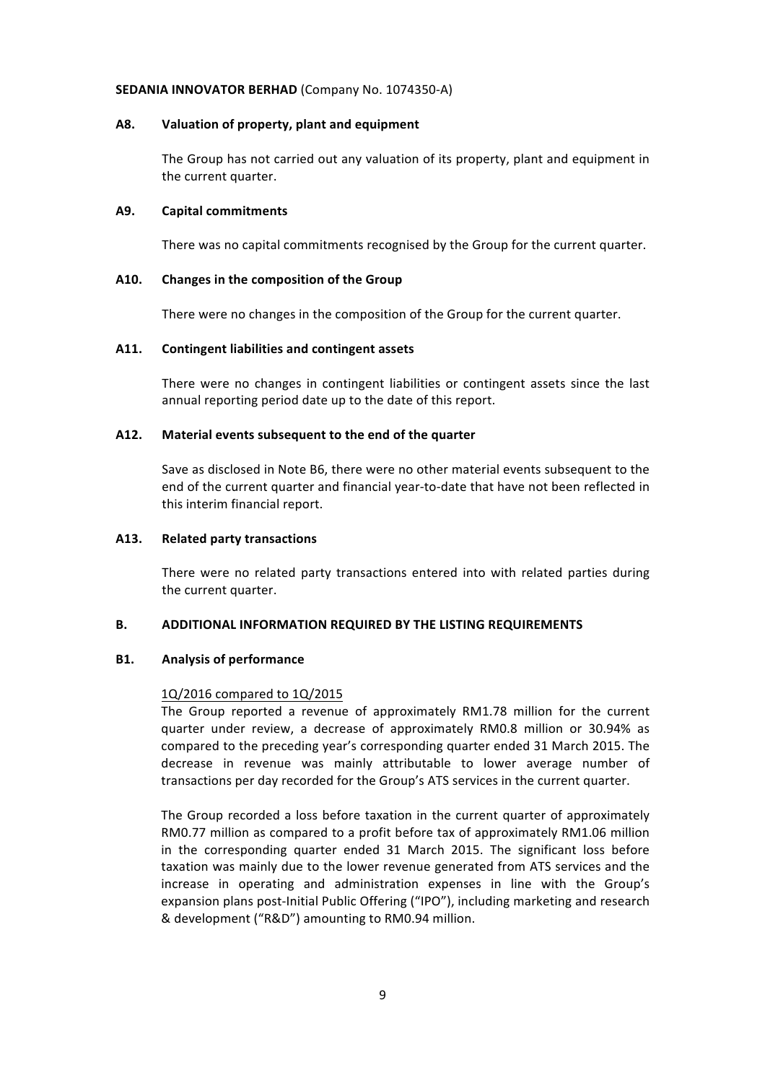#### **A8. Valuation of property, plant and equipment**

The Group has not carried out any valuation of its property, plant and equipment in the current quarter.

#### **A9. Capital commitments**

There was no capital commitments recognised by the Group for the current quarter.

#### A10. Changes in the composition of the Group

There were no changes in the composition of the Group for the current quarter.

#### A11. Contingent liabilities and contingent assets

There were no changes in contingent liabilities or contingent assets since the last annual reporting period date up to the date of this report.

#### A12. Material events subsequent to the end of the quarter

Save as disclosed in Note B6, there were no other material events subsequent to the end of the current quarter and financial year-to-date that have not been reflected in this interim financial report.

#### **A13. Related party transactions**

There were no related party transactions entered into with related parties during the current quarter.

#### **B. ADDITIONAL INFORMATION REQUIRED BY THE LISTING REQUIREMENTS**

#### **B1.** Analysis of performance

#### 1Q/2016 compared to 1Q/2015

The Group reported a revenue of approximately RM1.78 million for the current quarter under review, a decrease of approximately RM0.8 million or 30.94% as compared to the preceding year's corresponding quarter ended 31 March 2015. The decrease in revenue was mainly attributable to lower average number of transactions per day recorded for the Group's ATS services in the current quarter.

The Group recorded a loss before taxation in the current quarter of approximately RM0.77 million as compared to a profit before tax of approximately RM1.06 million in the corresponding quarter ended 31 March 2015. The significant loss before taxation was mainly due to the lower revenue generated from ATS services and the increase in operating and administration expenses in line with the Group's expansion plans post-Initial Public Offering ("IPO"), including marketing and research & development ("R&D") amounting to RM0.94 million.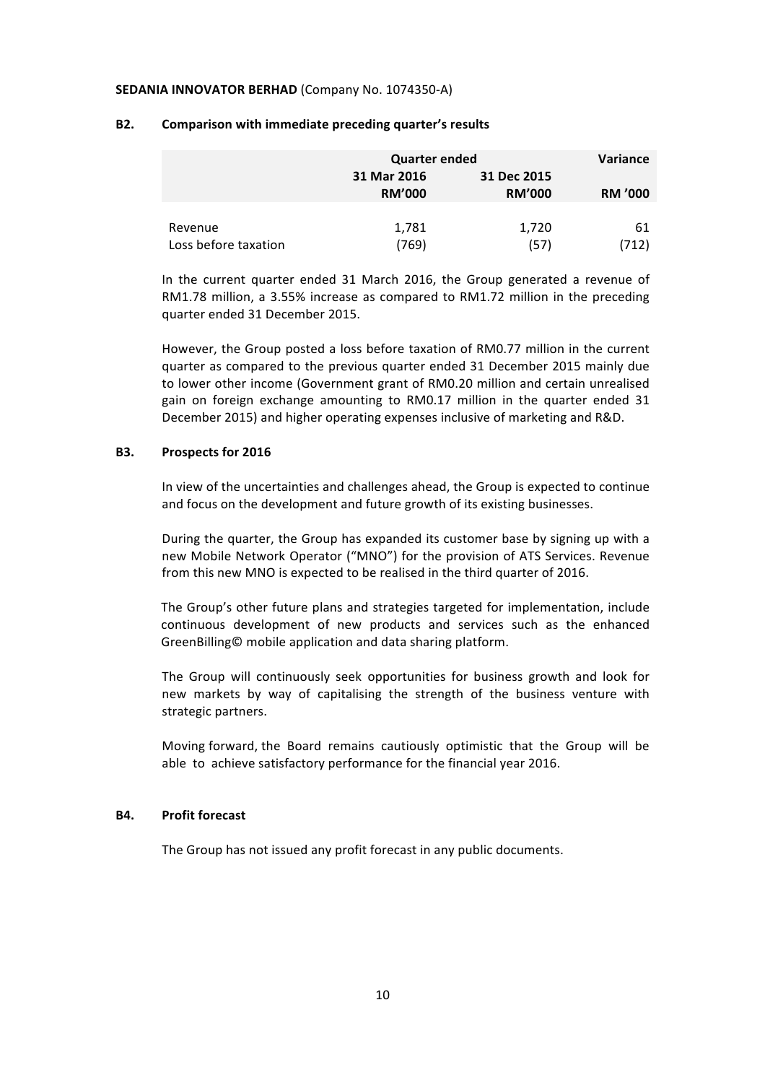|                      | <b>Quarter ended</b>         |                              | Variance       |
|----------------------|------------------------------|------------------------------|----------------|
|                      | 31 Mar 2016<br><b>RM'000</b> | 31 Dec 2015<br><b>RM'000</b> | <b>RM '000</b> |
|                      |                              |                              |                |
| Revenue              | 1,781                        | 1,720                        | 61             |
| Loss before taxation | 769)                         | (57)                         | (712)          |

#### **B2. Comparison with immediate preceding quarter's results**

In the current quarter ended 31 March 2016, the Group generated a revenue of RM1.78 million, a 3.55% increase as compared to RM1.72 million in the preceding quarter ended 31 December 2015.

However, the Group posted a loss before taxation of RM0.77 million in the current quarter as compared to the previous quarter ended 31 December 2015 mainly due to lower other income (Government grant of RM0.20 million and certain unrealised gain on foreign exchange amounting to RM0.17 million in the quarter ended 31 December 2015) and higher operating expenses inclusive of marketing and R&D.

#### **B3.** Prospects for 2016

In view of the uncertainties and challenges ahead, the Group is expected to continue and focus on the development and future growth of its existing businesses.

During the quarter, the Group has expanded its customer base by signing up with a new Mobile Network Operator ("MNO") for the provision of ATS Services. Revenue from this new MNO is expected to be realised in the third quarter of 2016.

The Group's other future plans and strategies targeted for implementation, include continuous development of new products and services such as the enhanced GreenBilling© mobile application and data sharing platform.

The Group will continuously seek opportunities for business growth and look for new markets by way of capitalising the strength of the business venture with strategic partners.

Moving forward, the Board remains cautiously optimistic that the Group will be able to achieve satisfactory performance for the financial year 2016.

#### **B4.** Profit forecast

The Group has not issued any profit forecast in any public documents.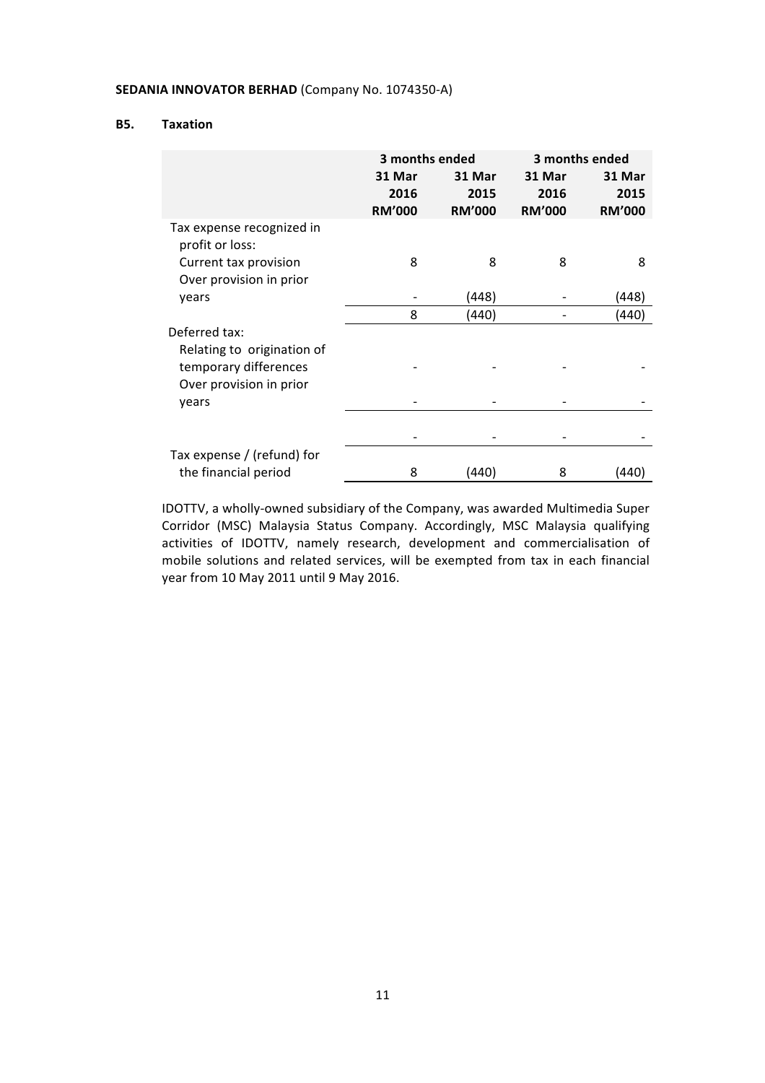#### **B5. Taxation**

|                                                  | 3 months ended                  |                                 |                                 | 3 months ended                  |
|--------------------------------------------------|---------------------------------|---------------------------------|---------------------------------|---------------------------------|
|                                                  | 31 Mar<br>2016<br><b>RM'000</b> | 31 Mar<br>2015<br><b>RM'000</b> | 31 Mar<br>2016<br><b>RM'000</b> | 31 Mar<br>2015<br><b>RM'000</b> |
| Tax expense recognized in<br>profit or loss:     |                                 |                                 |                                 |                                 |
| Current tax provision<br>Over provision in prior | 8                               | 8                               | 8                               | 8                               |
| years                                            |                                 | (448)                           |                                 | (448)                           |
|                                                  | 8                               | (440)                           |                                 | (440)                           |
| Deferred tax:<br>Relating to origination of      |                                 |                                 |                                 |                                 |
| temporary differences<br>Over provision in prior |                                 |                                 |                                 |                                 |
| years                                            |                                 |                                 |                                 |                                 |
|                                                  |                                 |                                 |                                 |                                 |
| Tax expense / (refund) for                       |                                 |                                 |                                 |                                 |
| the financial period                             | 8                               | (440)                           | 8                               | (440)                           |

IDOTTV, a wholly-owned subsidiary of the Company, was awarded Multimedia Super Corridor (MSC) Malaysia Status Company. Accordingly, MSC Malaysia qualifying activities of IDOTTV, namely research, development and commercialisation of mobile solutions and related services, will be exempted from tax in each financial year from 10 May 2011 until 9 May 2016.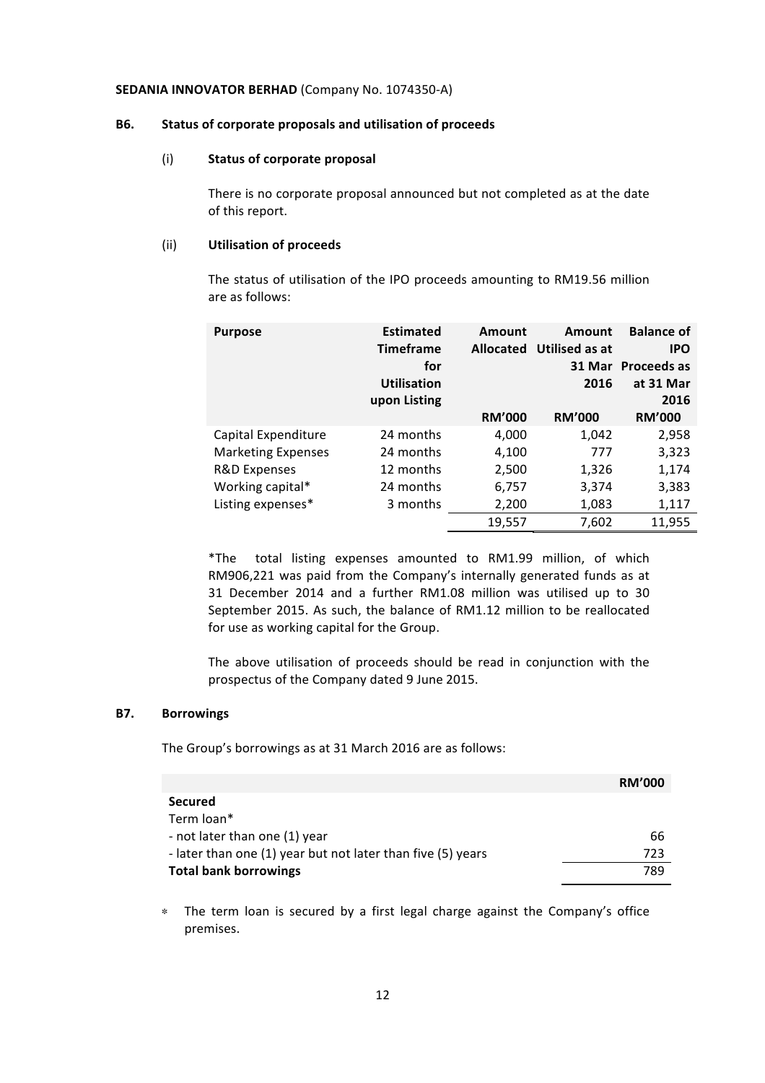#### **B6.** Status of corporate proposals and utilisation of proceeds

#### (i) **Status of corporate proposal**

There is no corporate proposal announced but not completed as at the date of this report.

#### (ii) **Utilisation of proceeds**

The status of utilisation of the IPO proceeds amounting to RM19.56 million are as follows:

| <b>Purpose</b>            | <b>Estimated</b><br><b>Timeframe</b><br>for<br><b>Utilisation</b><br>upon Listing | Amount<br><b>Allocated</b> | Amount<br>Utilised as at<br>2016 | <b>Balance of</b><br><b>IPO</b><br>31 Mar Proceeds as<br>at 31 Mar<br>2016 |
|---------------------------|-----------------------------------------------------------------------------------|----------------------------|----------------------------------|----------------------------------------------------------------------------|
|                           |                                                                                   | <b>RM'000</b>              | <b>RM'000</b>                    | <b>RM'000</b>                                                              |
| Capital Expenditure       | 24 months                                                                         | 4,000                      | 1,042                            | 2,958                                                                      |
| <b>Marketing Expenses</b> | 24 months                                                                         | 4,100                      | 777                              | 3,323                                                                      |
| <b>R&amp;D Expenses</b>   | 12 months                                                                         | 2,500                      | 1,326                            | 1,174                                                                      |
| Working capital*          | 24 months                                                                         | 6,757                      | 3,374                            | 3,383                                                                      |
| Listing expenses*         | 3 months                                                                          | 2,200                      | 1,083                            | 1,117                                                                      |
|                           |                                                                                   | 19,557                     | 7,602                            | 11,955                                                                     |

\*The total listing expenses amounted to RM1.99 million, of which RM906,221 was paid from the Company's internally generated funds as at 31 December 2014 and a further RM1.08 million was utilised up to 30 September 2015. As such, the balance of RM1.12 million to be reallocated for use as working capital for the Group.

The above utilisation of proceeds should be read in conjunction with the prospectus of the Company dated 9 June 2015.

#### **B7. Borrowings**

The Group's borrowings as at 31 March 2016 are as follows:

|                                                             | <b>RM'000</b> |
|-------------------------------------------------------------|---------------|
| <b>Secured</b>                                              |               |
| Term loan*                                                  |               |
| - not later than one (1) year                               | 66            |
| - later than one (1) year but not later than five (5) years | 723           |
| <b>Total bank borrowings</b>                                | 789           |

∗ The term loan is secured by a first legal charge against the Company's office premises.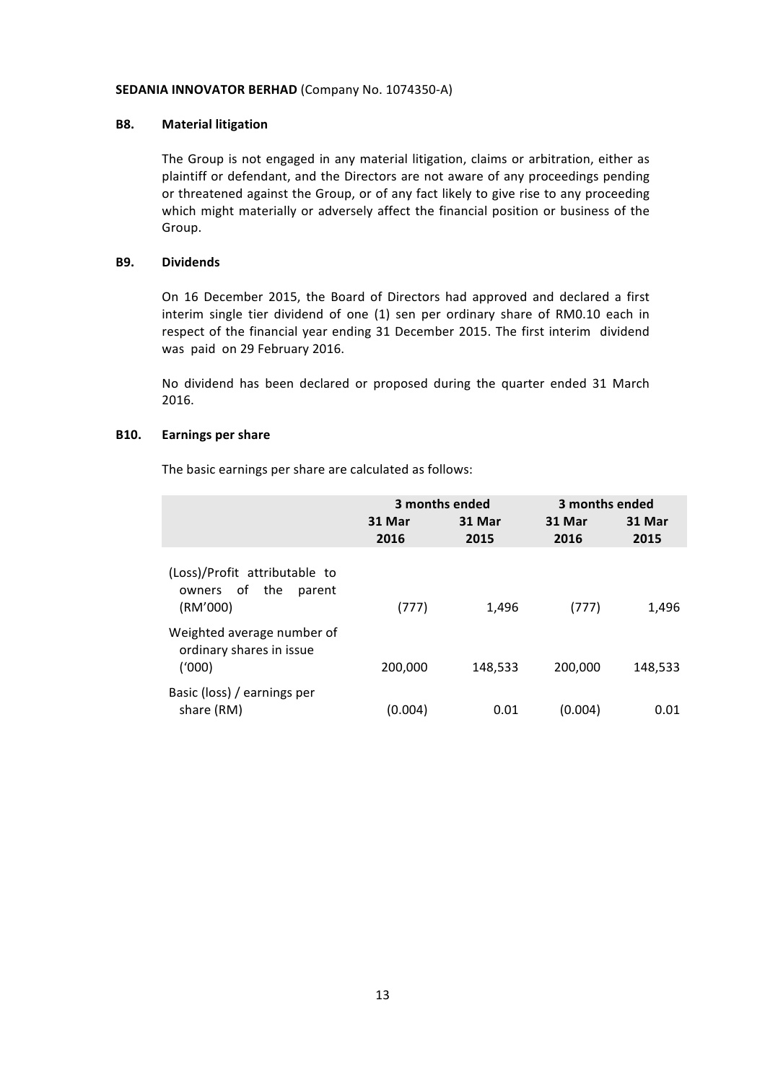#### **B8. Material litigation**

The Group is not engaged in any material litigation, claims or arbitration, either as plaintiff or defendant, and the Directors are not aware of any proceedings pending or threatened against the Group, or of any fact likely to give rise to any proceeding which might materially or adversely affect the financial position or business of the Group.

#### **B9. Dividends**

On 16 December 2015, the Board of Directors had approved and declared a first interim single tier dividend of one (1) sen per ordinary share of RM0.10 each in respect of the financial year ending 31 December 2015. The first interim dividend was paid on 29 February 2016.

No dividend has been declared or proposed during the quarter ended 31 March 2016.

#### **B10. Earnings per share**

The basic earnings per share are calculated as follows:

|                                                                      | 3 months ended |                | 3 months ended |                |
|----------------------------------------------------------------------|----------------|----------------|----------------|----------------|
|                                                                      | 31 Mar<br>2016 | 31 Mar<br>2015 | 31 Mar<br>2016 | 31 Mar<br>2015 |
| (Loss)/Profit attributable to<br>owners of the<br>parent<br>(RM'000) | (777)          | 1,496          | (777)          | 1,496          |
| Weighted average number of<br>ordinary shares in issue<br>(1000)     | 200,000        | 148,533        | 200,000        | 148,533        |
| Basic (loss) / earnings per<br>share (RM)                            | (0.004)        | 0.01           | (0.004)        | 0.01           |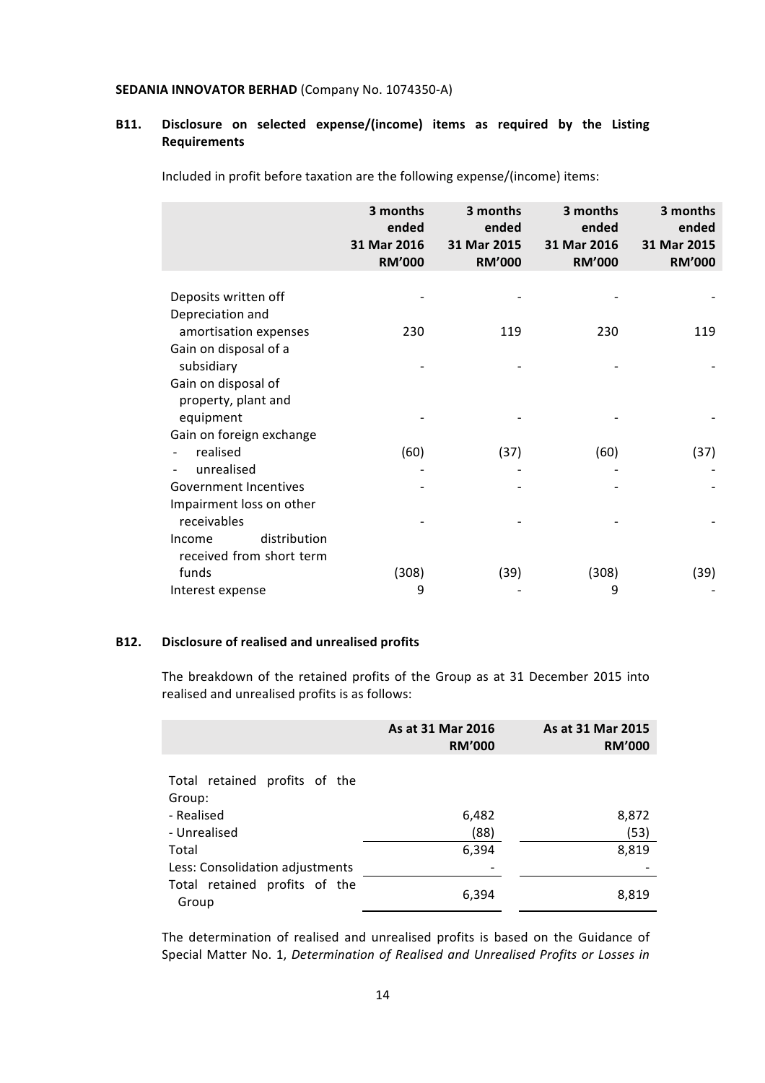# **B11. Disclosure on selected expense/(income) items as required by the Listing Requirements**

Included in profit before taxation are the following expense/(income) items:

|                              | 3 months<br>ended<br>31 Mar 2016<br><b>RM'000</b> | 3 months<br>ended<br>31 Mar 2015<br><b>RM'000</b> | 3 months<br>ended<br>31 Mar 2016<br><b>RM'000</b> | 3 months<br>ended<br>31 Mar 2015<br><b>RM'000</b> |
|------------------------------|---------------------------------------------------|---------------------------------------------------|---------------------------------------------------|---------------------------------------------------|
|                              |                                                   |                                                   |                                                   |                                                   |
| Deposits written off         |                                                   |                                                   |                                                   |                                                   |
| Depreciation and             |                                                   |                                                   |                                                   |                                                   |
| amortisation expenses        | 230                                               | 119                                               | 230                                               | 119                                               |
| Gain on disposal of a        |                                                   |                                                   |                                                   |                                                   |
| subsidiary                   |                                                   |                                                   |                                                   |                                                   |
| Gain on disposal of          |                                                   |                                                   |                                                   |                                                   |
| property, plant and          |                                                   |                                                   |                                                   |                                                   |
| equipment                    |                                                   |                                                   |                                                   |                                                   |
| Gain on foreign exchange     |                                                   |                                                   |                                                   |                                                   |
| realised                     | (60)                                              | (37)                                              | (60)                                              | (37)                                              |
| unrealised                   |                                                   |                                                   |                                                   |                                                   |
| <b>Government Incentives</b> |                                                   |                                                   |                                                   |                                                   |
| Impairment loss on other     |                                                   |                                                   |                                                   |                                                   |
| receivables                  |                                                   |                                                   |                                                   |                                                   |
| distribution<br>Income       |                                                   |                                                   |                                                   |                                                   |
| received from short term     |                                                   |                                                   |                                                   |                                                   |
| funds                        | (308)                                             | (39)                                              | (308)                                             | (39)                                              |
| Interest expense             | 9                                                 |                                                   | 9                                                 |                                                   |

### **B12.** Disclosure of realised and unrealised profits

The breakdown of the retained profits of the Group as at 31 December 2015 into realised and unrealised profits is as follows:

|                                          | As at 31 Mar 2016<br><b>RM'000</b> | As at 31 Mar 2015<br><b>RM'000</b> |
|------------------------------------------|------------------------------------|------------------------------------|
| Total retained profits of the<br>Group:  |                                    |                                    |
| - Realised<br>- Unrealised               | 6,482<br>(88)                      | 8,872<br>(53)                      |
| Total<br>Less: Consolidation adjustments | 6,394                              | 8,819                              |
| Total retained profits of the<br>Group   | 6,394                              | 8,819                              |

The determination of realised and unrealised profits is based on the Guidance of Special Matter No. 1, *Determination of Realised and Unrealised Profits or Losses in*